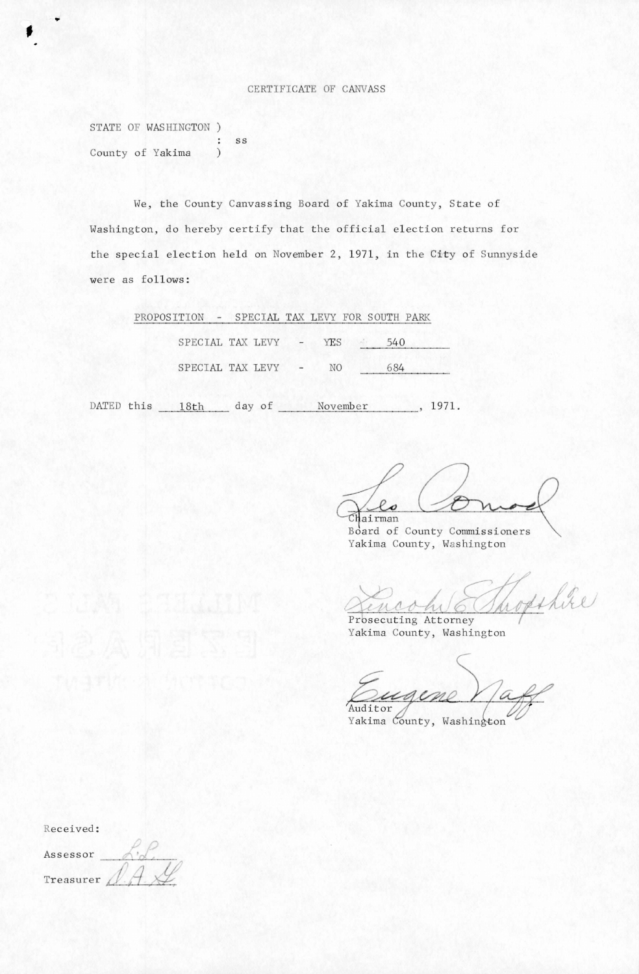## CERTIFICATE OF CANVASS

STATE OF WASHINGTON ) SS  $\ddot{\cdot}$ County of Yakima  $\mathcal{E}$ 

We, the County Canvassing Board of Yakima County, State of Washington, do hereby certify that the official election returns for the special election held on November 2, 1971, in the City of Sunnyside were as follows:

| PROPOSITION - SPECIAL TAX LEVY FOR SOUTH PARK |  |                    |                                                                                                              |     |  |  |
|-----------------------------------------------|--|--------------------|--------------------------------------------------------------------------------------------------------------|-----|--|--|
|                                               |  | SPECIAL TAX LEVY - |                                                                                                              | YES |  |  |
|                                               |  | SPECIAL TAX LEVY   | $\frac{1}{2} \left( \frac{1}{2} \right) \left( \frac{1}{2} \right) = \frac{1}{2} \left( \frac{1}{2} \right)$ | NO. |  |  |

DATED this 18th day of November, 1971.

Chairman

Board of County Commissioners Yakima County, Washington

ophic

Prosecuting Attorney Yakima County, Washington

Auditor

Yakima County, Washington

Received:

Assessor Treasurer